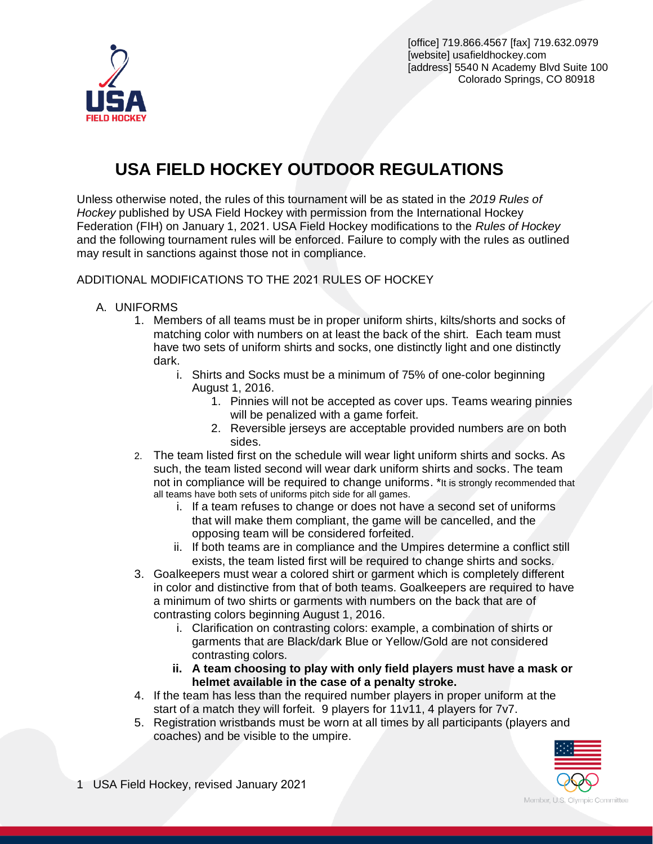

[office] 719.866.4567 [fax] 719.632.0979 [website] usafieldhockey.com [address] 5540 N Academy Blvd Suite 100 Colorado Springs, CO 80918

# **USA FIELD HOCKEY OUTDOOR REGULATIONS**

Unless otherwise noted, the rules of this tournament will be as stated in the *2019 Rules of Hockey* published by USA Field Hockey with permission from the International Hockey Federation (FIH) on January 1, 2021. USA Field Hockey modifications to the *Rules of Hockey* and the following tournament rules will be enforced. Failure to comply with the rules as outlined may result in sanctions against those not in compliance.

#### ADDITIONAL MODIFICATIONS TO THE 2021 RULES OF HOCKEY

- A. UNIFORMS
	- 1. Members of all teams must be in proper uniform shirts, kilts/shorts and socks of matching color with numbers on at least the back of the shirt. Each team must have two sets of uniform shirts and socks, one distinctly light and one distinctly dark.
		- i. Shirts and Socks must be a minimum of 75% of one-color beginning August 1, 2016.
			- 1. Pinnies will not be accepted as cover ups. Teams wearing pinnies will be penalized with a game forfeit.
			- 2. Reversible jerseys are acceptable provided numbers are on both sides.
	- 2. The team listed first on the schedule will wear light uniform shirts and socks. As such, the team listed second will wear dark uniform shirts and socks. The team not in compliance will be required to change uniforms. \*It is strongly recommended that all teams have both sets of uniforms pitch side for all games.
		- i. If a team refuses to change or does not have a second set of uniforms that will make them compliant, the game will be cancelled, and the opposing team will be considered forfeited.
		- ii. If both teams are in compliance and the Umpires determine a conflict still exists, the team listed first will be required to change shirts and socks.
	- 3. Goalkeepers must wear a colored shirt or garment which is completely different in color and distinctive from that of both teams. Goalkeepers are required to have a minimum of two shirts or garments with numbers on the back that are of contrasting colors beginning August 1, 2016.
		- i. Clarification on contrasting colors: example, a combination of shirts or garments that are Black/dark Blue or Yellow/Gold are not considered contrasting colors.
		- **ii. A team choosing to play with only field players must have a mask or helmet available in the case of a penalty stroke.**
	- 4. If the team has less than the required number players in proper uniform at the start of a match they will forfeit. 9 players for 11v11, 4 players for 7v7.
	- 5. Registration wristbands must be worn at all times by all participants (players and coaches) and be visible to the umpire.



1 USA Field Hockey, revised January 2021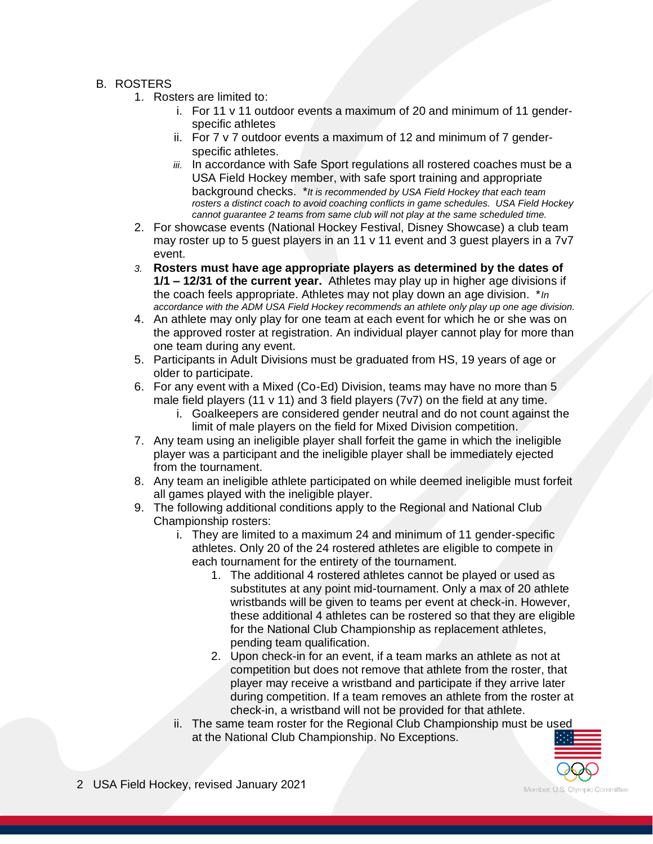- B. ROSTERS
	- 1. Rosters are limited to:
		- i. For 11 v 11 outdoor events a maximum of 20 and minimum of 11 genderspecific athletes
		- ii. For 7 v 7 outdoor events a maximum of 12 and minimum of 7 genderspecific athletes.
		- *iii.* In accordance with Safe Sport regulations all rostered coaches must be a USA Field Hockey member, with safe sport training and appropriate background checks. \**It is recommended by USA Field Hockey that each team rosters a distinct coach to avoid coaching conflicts in game schedules. USA Field Hockey cannot guarantee 2 teams from same club will not play at the same scheduled time.*
	- 2. For showcase events (National Hockey Festival, Disney Showcase) a club team may roster up to 5 guest players in an 11 v 11 event and 3 guest players in a 7v7 event.
	- *3.* **Rosters must have age appropriate players as determined by the dates of 1/1 – 12/31 of the current year.** Athletes may play up in higher age divisions if the coach feels appropriate. Athletes may not play down an age division. \**In accordance with the ADM USA Field Hockey recommends an athlete only play up one age division.*
	- 4. An athlete may only play for one team at each event for which he or she was on the approved roster at registration. An individual player cannot play for more than one team during any event.
	- 5. Participants in Adult Divisions must be graduated from HS, 19 years of age or older to participate.
	- 6. For any event with a Mixed (Co-Ed) Division, teams may have no more than 5 male field players (11 v 11) and 3 field players (7v7) on the field at any time.
		- i. Goalkeepers are considered gender neutral and do not count against the limit of male players on the field for Mixed Division competition.
	- 7. Any team using an ineligible player shall forfeit the game in which the ineligible player was a participant and the ineligible player shall be immediately ejected from the tournament.
	- 8. Any team an ineligible athlete participated on while deemed ineligible must forfeit all games played with the ineligible player.
	- 9. The following additional conditions apply to the Regional and National Club Championship rosters:
		- i. They are limited to a maximum 24 and minimum of 11 gender-specific athletes. Only 20 of the 24 rostered athletes are eligible to compete in each tournament for the entirety of the tournament.
			- 1. The additional 4 rostered athletes cannot be played or used as substitutes at any point mid-tournament. Only a max of 20 athlete wristbands will be given to teams per event at check-in. However, these additional 4 athletes can be rostered so that they are eligible for the National Club Championship as replacement athletes, pending team qualification.
			- 2. Upon check-in for an event, if a team marks an athlete as not at competition but does not remove that athlete from the roster, that player may receive a wristband and participate if they arrive later during competition. If a team removes an athlete from the roster at check-in, a wristband will not be provided for that athlete.
		- ii. The same team roster for the Regional Club Championship must be used at the National Club Championship. No Exceptions.

2 USA Field Hockey, revised January 2021

Member, U.S. Olympic Committee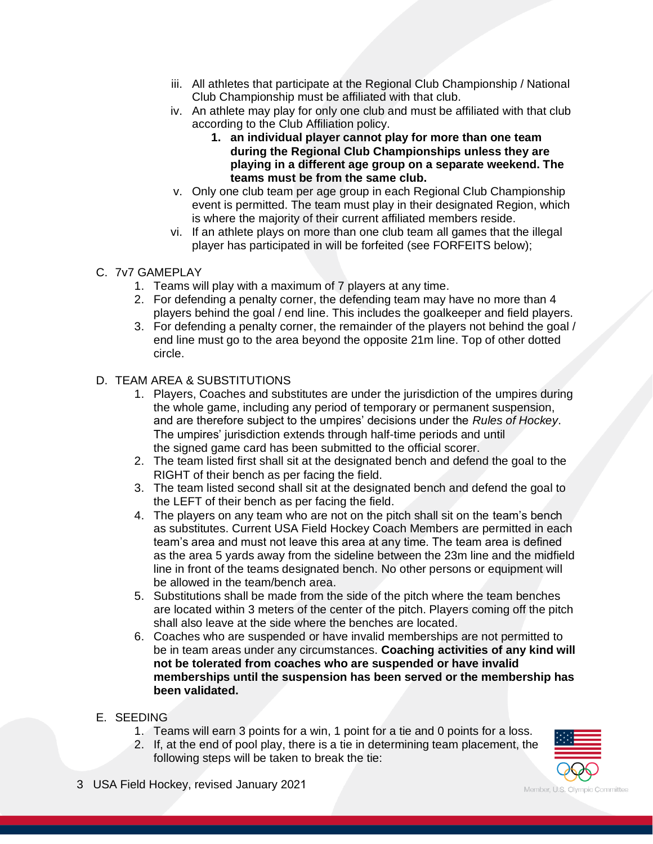- iii. All athletes that participate at the Regional Club Championship / National Club Championship must be affiliated with that club.
- iv. An athlete may play for only one club and must be affiliated with that club according to the Club Affiliation policy.
	- **1. an individual player cannot play for more than one team during the Regional Club Championships unless they are playing in a different age group on a separate weekend. The teams must be from the same club.**
- v. Only one club team per age group in each Regional Club Championship event is permitted. The team must play in their designated Region, which is where the majority of their current affiliated members reside.
- vi. If an athlete plays on more than one club team all games that the illegal player has participated in will be forfeited (see FORFEITS below);

# C. 7v7 GAMEPLAY

- 1. Teams will play with a maximum of 7 players at any time.
- 2. For defending a penalty corner, the defending team may have no more than 4 players behind the goal / end line. This includes the goalkeeper and field players.
- 3. For defending a penalty corner, the remainder of the players not behind the goal / end line must go to the area beyond the opposite 21m line. Top of other dotted circle.

# D. TEAM AREA & SUBSTITUTIONS

- 1. Players, Coaches and substitutes are under the jurisdiction of the umpires during the whole game, including any period of temporary or permanent suspension, and are therefore subject to the umpires' decisions under the *Rules of Hockey*. The umpires' jurisdiction extends through half-time periods and until the signed game card has been submitted to the official scorer.
- 2. The team listed first shall sit at the designated bench and defend the goal to the RIGHT of their bench as per facing the field.
- 3. The team listed second shall sit at the designated bench and defend the goal to the LEFT of their bench as per facing the field.
- 4. The players on any team who are not on the pitch shall sit on the team's bench as substitutes. Current USA Field Hockey Coach Members are permitted in each team's area and must not leave this area at any time. The team area is defined as the area 5 yards away from the sideline between the 23m line and the midfield line in front of the teams designated bench. No other persons or equipment will be allowed in the team/bench area.
- 5. Substitutions shall be made from the side of the pitch where the team benches are located within 3 meters of the center of the pitch. Players coming off the pitch shall also leave at the side where the benches are located.
- 6. Coaches who are suspended or have invalid memberships are not permitted to be in team areas under any circumstances. **Coaching activities of any kind will not be tolerated from coaches who are suspended or have invalid memberships until the suspension has been served or the membership has been validated.**
- E. SEEDING
	- 1. Teams will earn 3 points for a win, 1 point for a tie and 0 points for a loss.
	- 2. If, at the end of pool play, there is a tie in determining team placement, the following steps will be taken to break the tie:



3 USA Field Hockey, revised January 2021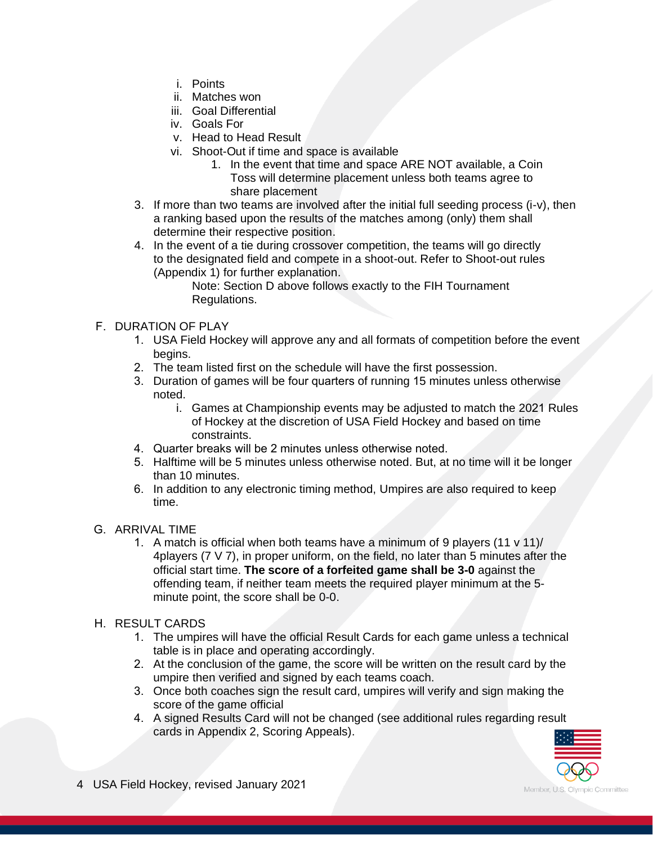- i. Points
- ii. Matches won
- iii. Goal Differential
- iv. Goals For
- v. Head to Head Result
- vi. Shoot-Out if time and space is available
	- 1. In the event that time and space ARE NOT available, a Coin Toss will determine placement unless both teams agree to share placement
- 3. If more than two teams are involved after the initial full seeding process (i-v), then a ranking based upon the results of the matches among (only) them shall determine their respective position.
- 4. In the event of a tie during crossover competition, the teams will go directly to the designated field and compete in a shoot-out. Refer to Shoot-out rules (Appendix 1) for further explanation.

Note: Section D above follows exactly to the FIH Tournament Regulations.

# F. DURATION OF PLAY

- 1. USA Field Hockey will approve any and all formats of competition before the event begins.
- 2. The team listed first on the schedule will have the first possession.
- 3. Duration of games will be four quarters of running 15 minutes unless otherwise noted.
	- i. Games at Championship events may be adjusted to match the 2021 Rules of Hockey at the discretion of USA Field Hockey and based on time constraints.
- 4. Quarter breaks will be 2 minutes unless otherwise noted.
- 5. Halftime will be 5 minutes unless otherwise noted. But, at no time will it be longer than 10 minutes.
- 6. In addition to any electronic timing method, Umpires are also required to keep time.

#### G. ARRIVAL TIME

1. A match is official when both teams have a minimum of 9 players (11 v 11)/ 4players (7 V 7), in proper uniform, on the field, no later than 5 minutes after the official start time. **The score of a forfeited game shall be 3-0** against the offending team, if neither team meets the required player minimum at the 5 minute point, the score shall be 0-0.

#### H. RESULT CARDS

- 1. The umpires will have the official Result Cards for each game unless a technical table is in place and operating accordingly.
- 2. At the conclusion of the game, the score will be written on the result card by the umpire then verified and signed by each teams coach.
- 3. Once both coaches sign the result card, umpires will verify and sign making the score of the game official
- 4. A signed Results Card will not be changed (see additional rules regarding result cards in Appendix 2, Scoring Appeals).

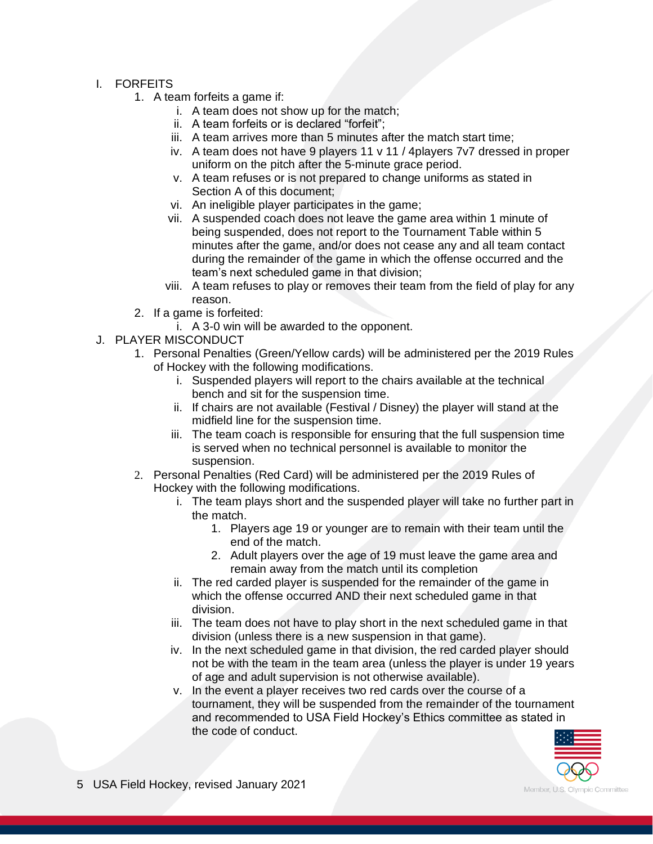#### I. FORFEITS

- 1. A team forfeits a game if:
	- i. A team does not show up for the match;
	- ii. A team forfeits or is declared "forfeit";
	- iii. A team arrives more than 5 minutes after the match start time;
	- iv. A team does not have 9 players 11 v 11 / 4players 7v7 dressed in proper uniform on the pitch after the 5-minute grace period.
	- v. A team refuses or is not prepared to change uniforms as stated in Section A of this document;
	- vi. An ineligible player participates in the game;
	- vii. A suspended coach does not leave the game area within 1 minute of being suspended, does not report to the Tournament Table within 5 minutes after the game, and/or does not cease any and all team contact during the remainder of the game in which the offense occurred and the team's next scheduled game in that division;
	- viii. A team refuses to play or removes their team from the field of play for any reason.
- 2. If a game is forfeited:
	- i. A 3-0 win will be awarded to the opponent.
- J. PLAYER MISCONDUCT
	- 1. Personal Penalties (Green/Yellow cards) will be administered per the 2019 Rules of Hockey with the following modifications.
		- i. Suspended players will report to the chairs available at the technical bench and sit for the suspension time.
		- ii. If chairs are not available (Festival / Disney) the player will stand at the midfield line for the suspension time.
		- iii. The team coach is responsible for ensuring that the full suspension time is served when no technical personnel is available to monitor the suspension.
	- 2. Personal Penalties (Red Card) will be administered per the 2019 Rules of Hockey with the following modifications.
		- i. The team plays short and the suspended player will take no further part in the match.
			- 1. Players age 19 or younger are to remain with their team until the end of the match.
			- 2. Adult players over the age of 19 must leave the game area and remain away from the match until its completion
		- ii. The red carded player is suspended for the remainder of the game in which the offense occurred AND their next scheduled game in that division.
		- iii. The team does not have to play short in the next scheduled game in that division (unless there is a new suspension in that game).
		- iv. In the next scheduled game in that division, the red carded player should not be with the team in the team area (unless the player is under 19 years of age and adult supervision is not otherwise available).
		- v. In the event a player receives two red cards over the course of a tournament, they will be suspended from the remainder of the tournament and recommended to USA Field Hockey's Ethics committee as stated in the code of conduct.

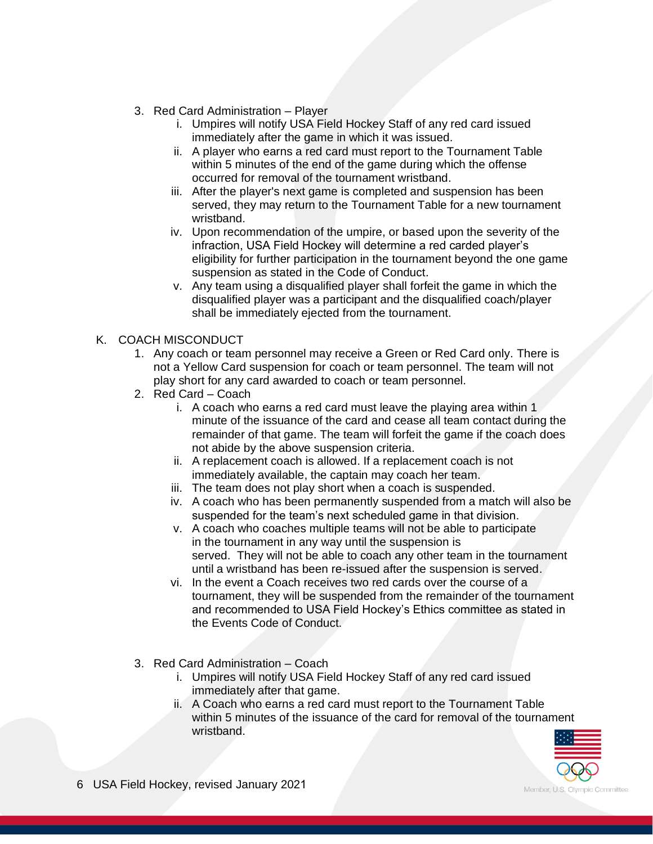- 3. Red Card Administration Player
	- i. Umpires will notify USA Field Hockey Staff of any red card issued immediately after the game in which it was issued.
	- ii. A player who earns a red card must report to the Tournament Table within 5 minutes of the end of the game during which the offense occurred for removal of the tournament wristband.
	- iii. After the player's next game is completed and suspension has been served, they may return to the Tournament Table for a new tournament wristband.
	- iv. Upon recommendation of the umpire, or based upon the severity of the infraction, USA Field Hockey will determine a red carded player's eligibility for further participation in the tournament beyond the one game suspension as stated in the Code of Conduct.
	- v. Any team using a disqualified player shall forfeit the game in which the disqualified player was a participant and the disqualified coach/player shall be immediately ejected from the tournament.

# K. COACH MISCONDUCT

- 1. Any coach or team personnel may receive a Green or Red Card only. There is not a Yellow Card suspension for coach or team personnel. The team will not play short for any card awarded to coach or team personnel.
- 2. Red Card Coach
	- i. A coach who earns a red card must leave the playing area within 1 minute of the issuance of the card and cease all team contact during the remainder of that game. The team will forfeit the game if the coach does not abide by the above suspension criteria.
	- ii. A replacement coach is allowed. If a replacement coach is not immediately available, the captain may coach her team.
	- iii. The team does not play short when a coach is suspended.
	- iv. A coach who has been permanently suspended from a match will also be suspended for the team's next scheduled game in that division.
	- v. A coach who coaches multiple teams will not be able to participate in the tournament in any way until the suspension is served. They will not be able to coach any other team in the tournament until a wristband has been re-issued after the suspension is served.
	- vi. In the event a Coach receives two red cards over the course of a tournament, they will be suspended from the remainder of the tournament and recommended to USA Field Hockey's Ethics committee as stated in the Events Code of Conduct.
- 3. Red Card Administration Coach
	- i. Umpires will notify USA Field Hockey Staff of any red card issued immediately after that game.
	- ii. A Coach who earns a red card must report to the Tournament Table within 5 minutes of the issuance of the card for removal of the tournament wristband.

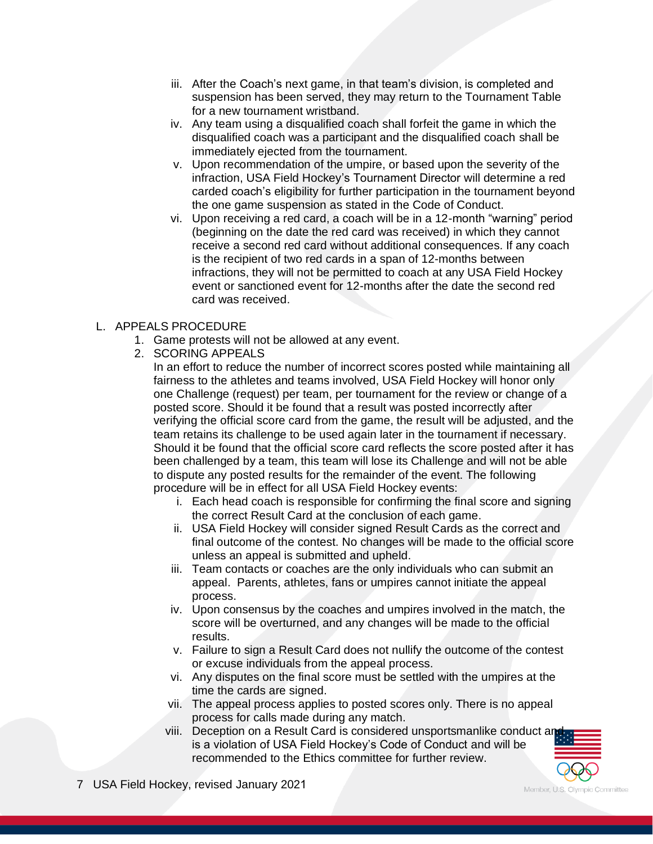- iii. After the Coach's next game, in that team's division, is completed and suspension has been served, they may return to the Tournament Table for a new tournament wristband.
- iv. Any team using a disqualified coach shall forfeit the game in which the disqualified coach was a participant and the disqualified coach shall be immediately ejected from the tournament.
- v. Upon recommendation of the umpire, or based upon the severity of the infraction, USA Field Hockey's Tournament Director will determine a red carded coach's eligibility for further participation in the tournament beyond the one game suspension as stated in the Code of Conduct.
- vi. Upon receiving a red card, a coach will be in a 12-month "warning" period (beginning on the date the red card was received) in which they cannot receive a second red card without additional consequences. If any coach is the recipient of two red cards in a span of 12-months between infractions, they will not be permitted to coach at any USA Field Hockey event or sanctioned event for 12-months after the date the second red card was received.

# L. APPEALS PROCEDURE

- 1. Game protests will not be allowed at any event.
- 2. SCORING APPEALS

In an effort to reduce the number of incorrect scores posted while maintaining all fairness to the athletes and teams involved, USA Field Hockey will honor only one Challenge (request) per team, per tournament for the review or change of a posted score. Should it be found that a result was posted incorrectly after verifying the official score card from the game, the result will be adjusted, and the team retains its challenge to be used again later in the tournament if necessary. Should it be found that the official score card reflects the score posted after it has been challenged by a team, this team will lose its Challenge and will not be able to dispute any posted results for the remainder of the event. The following procedure will be in effect for all USA Field Hockey events:

- i. Each head coach is responsible for confirming the final score and signing the correct Result Card at the conclusion of each game.
- ii. USA Field Hockey will consider signed Result Cards as the correct and final outcome of the contest. No changes will be made to the official score unless an appeal is submitted and upheld.
- iii. Team contacts or coaches are the only individuals who can submit an appeal. Parents, athletes, fans or umpires cannot initiate the appeal process.
- iv. Upon consensus by the coaches and umpires involved in the match, the score will be overturned, and any changes will be made to the official results.
- v. Failure to sign a Result Card does not nullify the outcome of the contest or excuse individuals from the appeal process.
- vi. Any disputes on the final score must be settled with the umpires at the time the cards are signed.
- vii. The appeal process applies to posted scores only. There is no appeal process for calls made during any match.
- viii. Deception on a Result Card is considered unsportsmanlike conduct an is a violation of USA Field Hockey's Code of Conduct and will be recommended to the Ethics committee for further review.



Member, U.S. Olympic Committee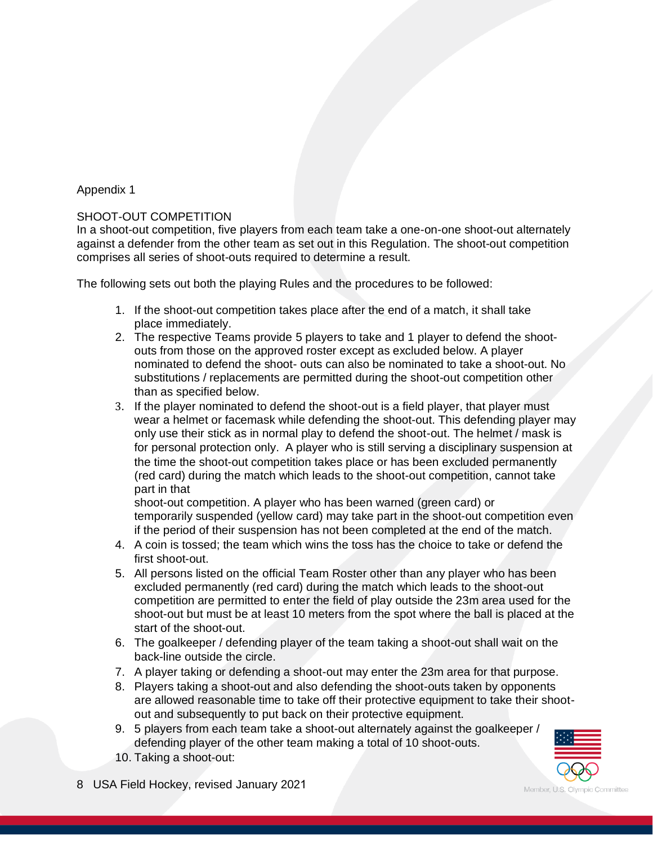# Appendix 1

#### SHOOT-OUT COMPETITION

In a shoot-out competition, five players from each team take a one-on-one shoot-out alternately against a defender from the other team as set out in this Regulation. The shoot-out competition comprises all series of shoot-outs required to determine a result.

The following sets out both the playing Rules and the procedures to be followed:

- 1. If the shoot-out competition takes place after the end of a match, it shall take place immediately.
- 2. The respective Teams provide 5 players to take and 1 player to defend the shootouts from those on the approved roster except as excluded below. A player nominated to defend the shoot- outs can also be nominated to take a shoot-out. No substitutions / replacements are permitted during the shoot-out competition other than as specified below.
- 3. If the player nominated to defend the shoot-out is a field player, that player must wear a helmet or facemask while defending the shoot-out. This defending player may only use their stick as in normal play to defend the shoot-out. The helmet / mask is for personal protection only. A player who is still serving a disciplinary suspension at the time the shoot-out competition takes place or has been excluded permanently (red card) during the match which leads to the shoot-out competition, cannot take part in that

shoot-out competition. A player who has been warned (green card) or temporarily suspended (yellow card) may take part in the shoot-out competition even if the period of their suspension has not been completed at the end of the match.

- 4. A coin is tossed; the team which wins the toss has the choice to take or defend the first shoot-out.
- 5. All persons listed on the official Team Roster other than any player who has been excluded permanently (red card) during the match which leads to the shoot-out competition are permitted to enter the field of play outside the 23m area used for the shoot-out but must be at least 10 meters from the spot where the ball is placed at the start of the shoot-out.
- 6. The goalkeeper / defending player of the team taking a shoot-out shall wait on the back-line outside the circle.
- 7. A player taking or defending a shoot-out may enter the 23m area for that purpose.
- 8. Players taking a shoot-out and also defending the shoot-outs taken by opponents are allowed reasonable time to take off their protective equipment to take their shootout and subsequently to put back on their protective equipment.
- 9. 5 players from each team take a shoot-out alternately against the goalkeeper / defending player of the other team making a total of 10 shoot-outs.
- 10. Taking a shoot-out:

8 USA Field Hockey, revised January 2021

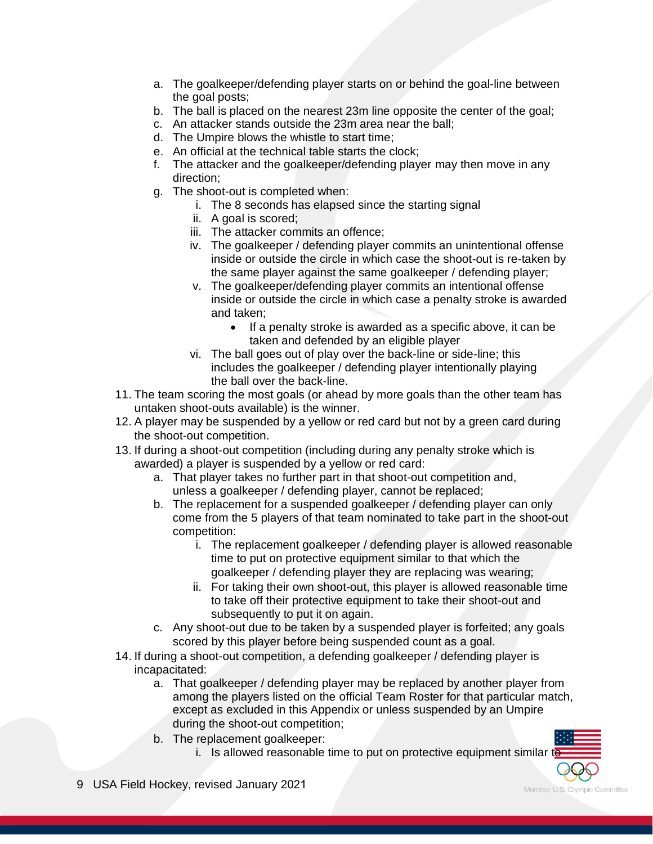- a. The goalkeeper/defending player starts on or behind the goal-line between the goal posts;
- b. The ball is placed on the nearest 23m line opposite the center of the goal;
- c. An attacker stands outside the 23m area near the ball;
- d. The Umpire blows the whistle to start time;
- e. An official at the technical table starts the clock;
- f. The attacker and the goalkeeper/defending player may then move in any direction;
- g. The shoot-out is completed when:
	- i. The 8 seconds has elapsed since the starting signal
		- ii. A goal is scored;
	- iii. The attacker commits an offence;
	- iv. The goalkeeper / defending player commits an unintentional offense inside or outside the circle in which case the shoot-out is re-taken by the same player against the same goalkeeper / defending player;
	- v. The goalkeeper/defending player commits an intentional offense inside or outside the circle in which case a penalty stroke is awarded and taken;
		- If a penalty stroke is awarded as a specific above, it can be taken and defended by an eligible player
	- vi. The ball goes out of play over the back-line or side-line; this includes the goalkeeper / defending player intentionally playing the ball over the back-line.
- 11. The team scoring the most goals (or ahead by more goals than the other team has untaken shoot-outs available) is the winner.
- 12. A player may be suspended by a yellow or red card but not by a green card during the shoot-out competition.
- 13. If during a shoot-out competition (including during any penalty stroke which is awarded) a player is suspended by a yellow or red card:
	- a. That player takes no further part in that shoot-out competition and, unless a goalkeeper / defending player, cannot be replaced;
	- b. The replacement for a suspended goalkeeper / defending player can only come from the 5 players of that team nominated to take part in the shoot-out competition:
		- i. The replacement goalkeeper / defending player is allowed reasonable time to put on protective equipment similar to that which the goalkeeper / defending player they are replacing was wearing;
		- ii. For taking their own shoot-out, this player is allowed reasonable time to take off their protective equipment to take their shoot-out and subsequently to put it on again.
	- c. Any shoot-out due to be taken by a suspended player is forfeited; any goals scored by this player before being suspended count as a goal.
- 14. If during a shoot-out competition, a defending goalkeeper / defending player is incapacitated:
	- a. That goalkeeper / defending player may be replaced by another player from among the players listed on the official Team Roster for that particular match, except as excluded in this Appendix or unless suspended by an Umpire during the shoot-out competition;
	- b. The replacement goalkeeper:
		- i. Is allowed reasonable time to put on protective equipment similar to
- 9 USA Field Hockey, revised January 2021

Member, U.S. Olympic Committee